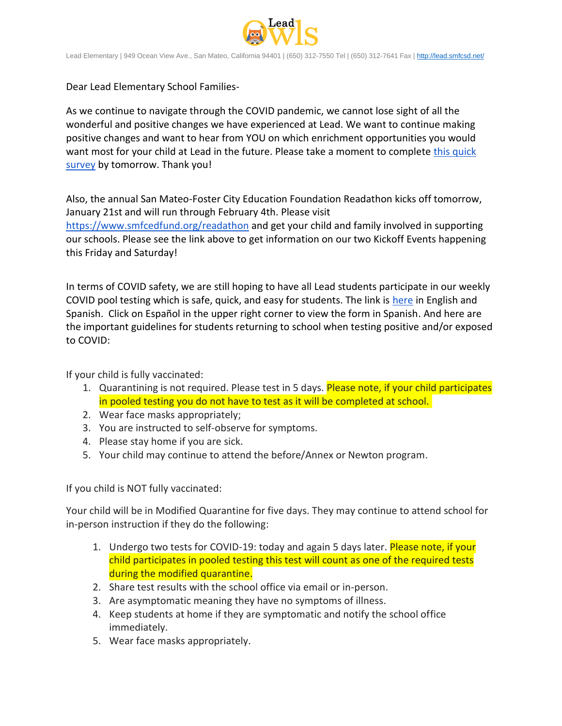

Lead Elementary | 949 Ocean View Ave., San Mateo, California 94401 | (650) 312-7550 Tel | (650) 312-7641 Fax [| http://lead.smfcsd.net/](http://lead.smfcsd.net/)

Dear Lead Elementary School Families-

As we continue to navigate through the COVID pandemic, we cannot lose sight of all the wonderful and positive changes we have experienced at Lead. We want to continue making positive changes and want to hear from YOU on which enrichment opportunities you would want most for your child at Lead in the future. Please take a moment to complete this quick [survey](https://forms.gle/w9ia3K57XYqPWCfa7) by tomorrow. Thank you!

Also, the annual San Mateo-Foster City Education Foundation Readathon kicks off tomorrow, January 21st and will run through February 4th. Please visit <https://www.smfcedfund.org/readathon> and get your child and family involved in supporting our schools. Please see the link above to get information on our two Kickoff Events happening this Friday and Saturday!

In terms of COVID safety, we are still hoping to have all Lead students participate in our weekly COVID pool testing which is safe, quick, and easy for students. The link is [here](https://testcenter.concentricbyginkgo.com/minor-consent/) in English and Spanish. Click on Español in the upper right corner to view the form in Spanish. And here are the important guidelines for students returning to school when testing positive and/or exposed to COVID:

If your child is fully vaccinated:

- 1. Quarantining is not required. Please test in 5 days. Please note, if your child participates in pooled testing you do not have to test as it will be completed at school.
- 2. Wear face masks appropriately;
- 3. You are instructed to self-observe for symptoms.
- 4. Please stay home if you are sick.
- 5. Your child may continue to attend the before/Annex or Newton program.

If you child is NOT fully vaccinated:

Your child will be in Modified Quarantine for five days. They may continue to attend school for in-person instruction if they do the following:

- 1. Undergo two tests for COVID-19: today and again 5 days later. Please note, if your child participates in pooled testing this test will count as one of the required tests during the modified quarantine.
- 2. Share test results with the school office via email or in-person.
- 3. Are asymptomatic meaning they have no symptoms of illness.
- 4. Keep students at home if they are symptomatic and notify the school office immediately.
- 5. Wear face masks appropriately.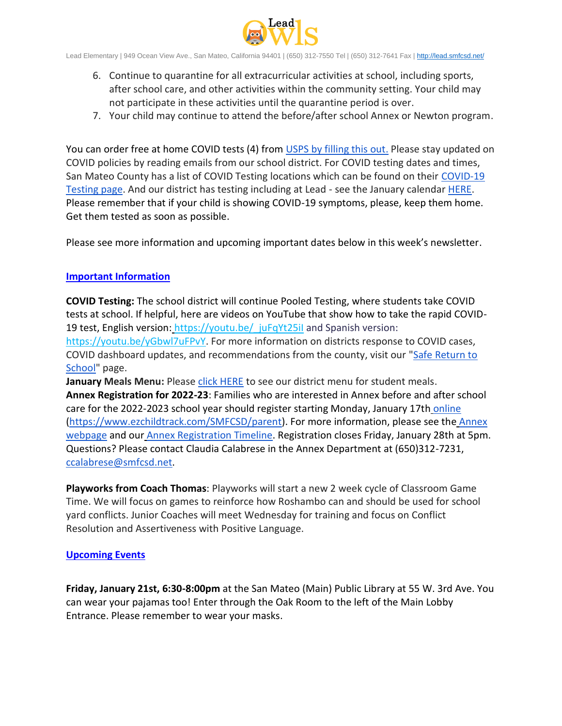

Lead Elementary | 949 Ocean View Ave., San Mateo, California 94401 | (650) 312-7550 Tel | (650) 312-7641 Fax [| http://lead.smfcsd.net/](http://lead.smfcsd.net/)

- 6. Continue to quarantine for all extracurricular activities at school, including sports, after school care, and other activities within the community setting. Your child may not participate in these activities until the quarantine period is over.
- 7. Your child may continue to attend the before/after school Annex or Newton program.

You can order free at home COVID tests (4) from [USPS by filling this out.](https://special.usps.com/testkits) Please stay updated on COVID policies by reading emails from our school district. For COVID testing dates and times, San Mateo County has a list of COVID Testing locations which can be found on their [COVID-19](https://www.smcgov.org/testing)  [Testing page.](https://www.smcgov.org/testing) And our district has testing including at Lead - see the January calendar [HERE.](https://drive.google.com/file/d/1tlz3IxjV39VXH90q2ljbJkXrmrv8ABV5/view?usp=sharing) Please remember that if your child is showing COVID-19 symptoms, please, keep them home. Get them tested as soon as possible.

Please see more information and upcoming important dates below in this week's newsletter.

## **Important Information**

**COVID Testing:** The school district will continue Pooled Testing, where students take COVID tests at school. If helpful, here are videos on YouTube that show how to take the rapid COVID-19 test, English version[:](https://youtu.be/yGbwl7uFPvY) https://youtu.be/ juFqYt25iI and Spanish version:

[https://youtu.be/yGbwl7uFPvY.](https://youtu.be/yGbwl7uFPvY) For more information on districts response to COVID cases, COVID dashboard updates, and recommendations from the county, visit our "Safe Return to [School"](http://www.smfcsd.net/en/covid-19-updates-resources/covid-19-updates.html) page.

**January Meals Menu:** Please [click HERE](https://drive.google.com/file/d/1w0U2Y1fY4mz4uFQH1Ruzq5o0fivbXrWj/view?usp=sharing) to see our district menu for student meals. **Annex Registration for 2022-23**: Families who are interested in Annex before and after school care for the 2022-2023 school year should register starting Monday, January 17th [online](https://www.ezchildtrack.com/SMFCSD/parent) [\(https://www.ezchildtrack.com/SMFCSD/parent\)](https://www.ezchildtrack.com/SMFCSD/parent). For more information, please see the [Annex](http://www.smfcsd.net/en/annex-afterschool/program-overview.html)  [webpage](http://www.smfcsd.net/en/annex-afterschool/program-overview.html) and our [Annex Registration Timeline.](http://www.smfcsd.net/en/assets/files/Communications/documents/annex/Registration%20Timeline%20Eng%20Span%202022-2023%20(2).pdf) Registration closes Friday, January 28th at 5pm. Questions? Please contact Claudia Calabrese in the Annex Department at (650)312-7231, ccalabrese@smfcsd.net.

**Playworks from Coach Thomas**: Playworks will start a new 2 week cycle of Classroom Game Time. We will focus on games to reinforce how Roshambo can and should be used for school yard conflicts. Junior Coaches will meet Wednesday for training and focus on Conflict Resolution and Assertiveness with Positive Language.

## **Upcoming Events**

**Friday, January 21st, 6:30-8:00pm** at the San Mateo (Main) Public Library at 55 W. 3rd Ave. You can wear your pajamas too! Enter through the Oak Room to the left of the Main Lobby Entrance. Please remember to wear your masks.